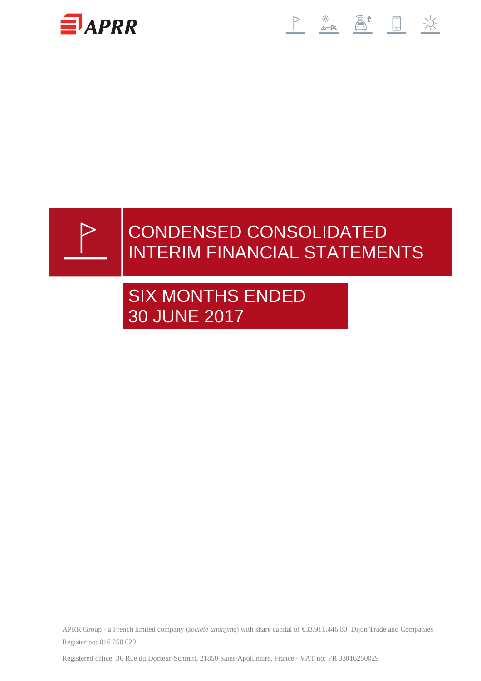





# CONDENSED CONSOLIDATED INTERIM FINANCIAL STATEMENTS

# SIX MONTHS ENDED 30 JUNE 2017

APRR Group - a French limited company (*société anonyme*) with share capital of €33,911,446.80. Dijon Tradeand Companies Register no: 016 250 029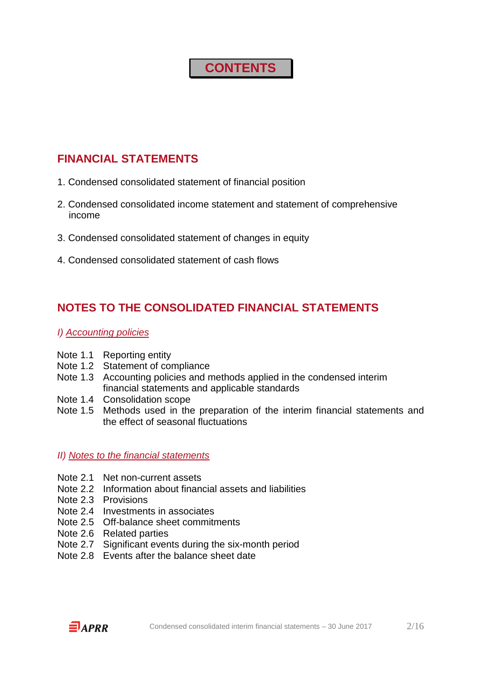# **CONTENTS**

### **FINANCIAL STATEMENTS**

- 1. Condensed consolidated statement of financial position
- 2. Condensed consolidated income statement and statement of comprehensive income
- 3. Condensed consolidated statement of changes in equity
- 4. Condensed consolidated statement of cash flows

### **NOTES TO THE CONSOLIDATED FINANCIAL STATEMENTS**

### I) Accounting policies

- Note 1.1 Reporting entity
- Note 1.2 Statement of compliance
- Note 1.3 Accounting policies and methods applied in the condensed interim financial statements and applicable standards
- Note 1.4 Consolidation scope
- Note 1.5 Methods used in the preparation of the interim financial statements and the effect of seasonal fluctuations

### II) Notes to the financial statements

- Note 2.1 Net non-current assets
- Note 2.2 Information about financial assets and liabilities
- Note 2.3 Provisions
- Note 2.4 Investments in associates
- Note 2.5 Off-balance sheet commitments
- Note 2.6 Related parties
- Note 2.7 Significant events during the six-month period
- Note 2.8 Events after the balance sheet date

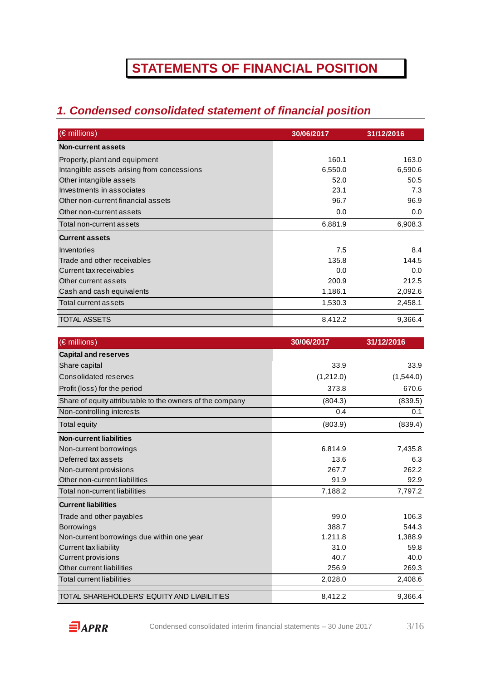# **STATEMENTS OF FINANCIAL POSITION**

## **1. Condensed consolidated statement of financial position**

| $(\epsilon$ millions)                      | 30/06/2017 | 31/12/2016 |
|--------------------------------------------|------------|------------|
| <b>Non-current assets</b>                  |            |            |
| Property, plant and equipment              | 160.1      | 163.0      |
| Intangible assets arising from concessions | 6,550.0    | 6,590.6    |
| Other intangible assets                    | 52.0       | 50.5       |
| Investments in associates                  | 23.1       | 7.3        |
| Other non-current financial assets         | 96.7       | 96.9       |
| Other non-current assets                   | 0.0        | 0.0        |
| Total non-current assets                   | 6,881.9    | 6,908.3    |
| <b>Current assets</b>                      |            |            |
| Inventories                                | 7.5        | 8.4        |
| Trade and other receivables                | 135.8      | 144.5      |
| Current tax receivables                    | 0.0        | 0.0        |
| Other current assets                       | 200.9      | 212.5      |
| Cash and cash equivalents                  | 1,186.1    | 2,092.6    |
| Total current assets                       | 1,530.3    | 2,458.1    |
| TOTAL ASSETS                               | 8,412.2    | 9,366.4    |

| (€ millions)                                              | 30/06/2017 | 31/12/2016 |
|-----------------------------------------------------------|------------|------------|
| <b>Capital and reserves</b>                               |            |            |
| Share capital                                             | 33.9       | 33.9       |
| Consolidated reserves                                     | (1,212.0)  | (1,544.0)  |
| Profit (loss) for the period                              | 373.8      | 670.6      |
| Share of equity attributable to the owners of the company | (804.3)    | (839.5)    |
| Non-controlling interests                                 | 0.4        | 0.1        |
| <b>Total equity</b>                                       | (803.9)    | (839.4)    |
| <b>Non-current liabilities</b>                            |            |            |
| Non-current borrowings                                    | 6,814.9    | 7,435.8    |
| Deferred tax assets                                       | 13.6       | 6.3        |
| Non-current provisions                                    | 267.7      | 262.2      |
| Other non-current liabilities                             | 91.9       | 92.9       |
| Total non-current liabilities                             | 7,188.2    | 7,797.2    |
| <b>Current liabilities</b>                                |            |            |
| Trade and other payables                                  | 99.0       | 106.3      |
| <b>Borrowings</b>                                         | 388.7      | 544.3      |
| Non-current borrowings due within one year                | 1,211.8    | 1,388.9    |
| <b>Current tax liability</b>                              | 31.0       | 59.8       |
| <b>Current provisions</b>                                 | 40.7       | 40.0       |
| Other current liabilities                                 | 256.9      | 269.3      |
| <b>Total current liabilities</b>                          | 2,028.0    | 2,408.6    |
| TOTAL SHAREHOLDERS' EQUITY AND LIABILITIES                | 8,412.2    | 9,366.4    |

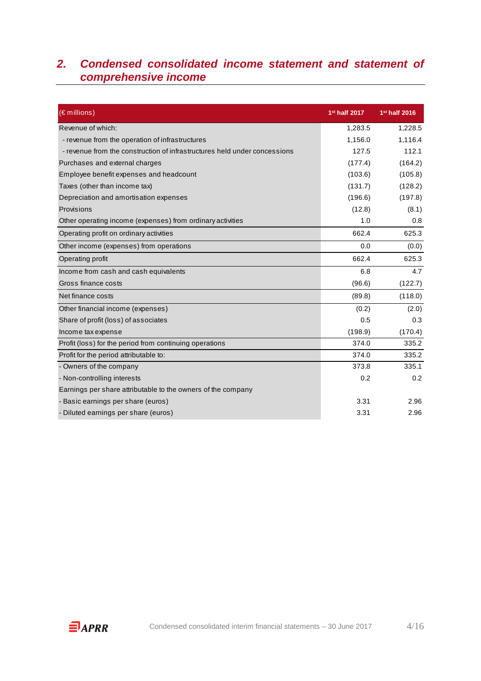### **2. Condensed consolidated income statement and statement of comprehensive income**

| (€ millions)                                                              | 1 <sup>st</sup> half 2017 | 1 <sup>st</sup> half 2016 |
|---------------------------------------------------------------------------|---------------------------|---------------------------|
| Revenue of which:                                                         | 1,283.5                   | 1,228.5                   |
| - revenue from the operation of infrastructures                           | 1,156.0                   | 1,116.4                   |
| - revenue from the construction of infrastructures held under concessions | 127.5                     | 112.1                     |
| Purchases and external charges                                            | (177.4)                   | (164.2)                   |
| Employee benefit expenses and headcount                                   | (103.6)                   | (105.8)                   |
| Taxes (other than income tax)                                             | (131.7)                   | (128.2)                   |
| Depreciation and amortisation expenses                                    | (196.6)                   | (197.8)                   |
| Provisions                                                                | (12.8)                    | (8.1)                     |
| Other operating income (expenses) from ordinary activities                | 1.0                       | 0.8                       |
| Operating profit on ordinary activities                                   | 662.4                     | 625.3                     |
| Other income (expenses) from operations                                   | 0.0                       | (0.0)                     |
| Operating profit                                                          | 662.4                     | 625.3                     |
| Income from cash and cash equivalents                                     | 6.8                       | 4.7                       |
| Gross finance costs                                                       | (96.6)                    | (122.7)                   |
| Net finance costs                                                         | (89.8)                    | (118.0)                   |
| Other financial income (expenses)                                         | (0.2)                     | (2.0)                     |
| Share of profit (loss) of associates                                      | 0.5                       | 0.3                       |
| Income tax expense                                                        | (198.9)                   | (170.4)                   |
| Profit (loss) for the period from continuing operations                   | 374.0                     | 335.2                     |
| Profit for the period attributable to:                                    | 374.0                     | 335.2                     |
| - Owners of the company                                                   | 373.8                     | 335.1                     |
| - Non-controlling interests                                               | 0.2                       | 0.2                       |
| Earnings per share attributable to the owners of the company              |                           |                           |
| - Basic earnings per share (euros)                                        | 3.31                      | 2.96                      |
| - Diluted earnings per share (euros)                                      | 3.31                      | 2.96                      |

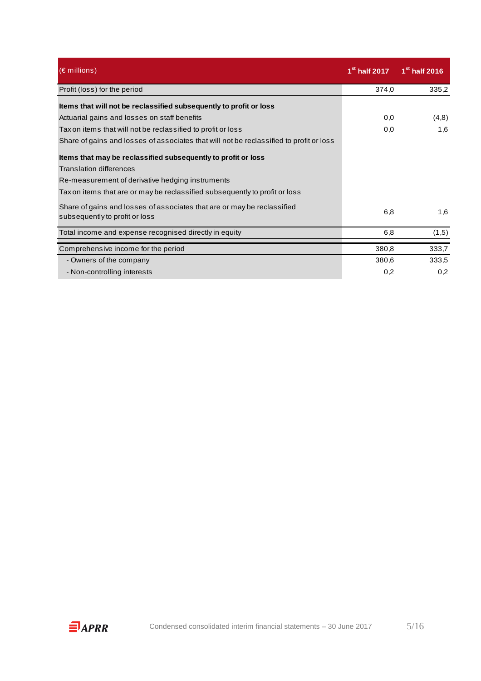| $(\epsilon$ millions)                                                                                     | $1st$ half 2017 | 1 <sup>st</sup> half 2016 |
|-----------------------------------------------------------------------------------------------------------|-----------------|---------------------------|
| Profit (loss) for the period                                                                              | 374,0           | 335,2                     |
| Items that will not be reclassified subsequently to profit or loss                                        |                 |                           |
| Actuarial gains and losses on staff benefits                                                              | 0,0             | (4,8)                     |
| Tax on items that will not be reclassified to profit or loss                                              | 0,0             | 1,6                       |
| Share of gains and losses of associates that will not be reclassified to profit or loss                   |                 |                           |
| Items that may be reclassified subsequently to profit or loss                                             |                 |                           |
| Translation differences                                                                                   |                 |                           |
| Re-measurement of derivative hedging instruments                                                          |                 |                           |
| Tax on items that are or may be reclassified subsequently to profit or loss                               |                 |                           |
| Share of gains and losses of associates that are or may be reclassified<br>subsequently to profit or loss | 6,8             | 1,6                       |
| Total income and expense recognised directly in equity                                                    | 6,8             | (1,5)                     |
| Comprehensive income for the period                                                                       | 380,8           | 333,7                     |
| - Owners of the company                                                                                   | 380,6           | 333,5                     |
| - Non-controlling interests                                                                               | 0,2             | 0,2                       |

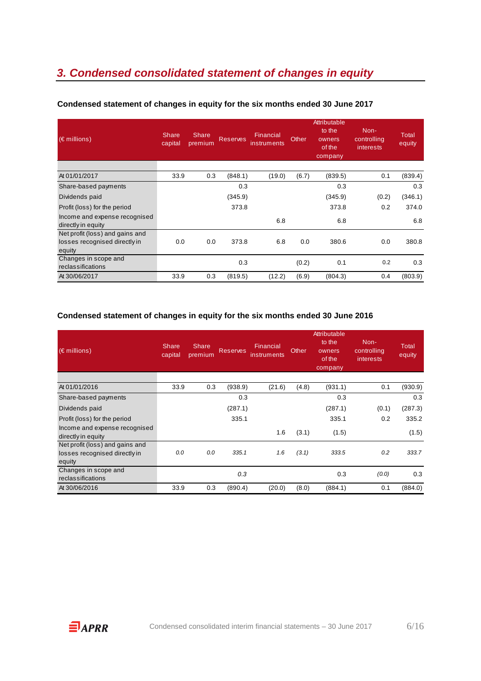## **3. Condensed consolidated statement of changes in equity**

| $(\epsilon$ millions)                               | <b>Share</b><br>capital | <b>Share</b><br>premium | <b>Reserves</b> | Financial<br>instruments | Other | Attributable<br>to the<br>owners<br>of the<br>company | Non-<br>controlling<br><i>interests</i> | <b>Total</b><br>equity |
|-----------------------------------------------------|-------------------------|-------------------------|-----------------|--------------------------|-------|-------------------------------------------------------|-----------------------------------------|------------------------|
| At 01/01/2017                                       | 33.9                    | 0.3                     | (848.1)         | (19.0)                   | (6.7) | (839.5)                                               | 0.1                                     | (839.4)                |
| Share-based payments                                |                         |                         | 0.3             |                          |       | 0.3                                                   |                                         | 0.3                    |
| Dividends paid                                      |                         |                         | (345.9)         |                          |       | (345.9)                                               | (0.2)                                   | (346.1)                |
| Profit (loss) for the period                        |                         |                         | 373.8           |                          |       | 373.8                                                 | 0.2                                     | 374.0                  |
| Income and expense recognised<br>directly in equity |                         |                         |                 | 6.8                      |       | 6.8                                                   |                                         | 6.8                    |
| Net profit (loss) and gains and                     |                         |                         |                 |                          |       |                                                       |                                         |                        |
| losses recognised directly in<br>equity             | 0.0                     | 0.0                     | 373.8           | 6.8                      | 0.0   | 380.6                                                 | 0.0                                     | 380.8                  |
| Changes in scope and<br>reclassifications           |                         |                         | 0.3             |                          | (0.2) | 0.1                                                   | 0.2                                     | 0.3                    |
| At 30/06/2017                                       | 33.9                    | 0.3                     | (819.5)         | (12.2)                   | (6.9) | (804.3)                                               | 0.4                                     | (803.9)                |

### **Condensed statement of changes in equity for the six months ended 30 June 2017**

#### **Condensed statement of changes in equity for the six months ended 30 June 2016**

| $(\in$ millions)                                                           | <b>Share</b><br>capital | <b>Share</b><br>premium | <b>Reserves</b> | Financial<br>instruments | Other | Attributable<br>to the<br>owners<br>of the<br>company | Non-<br>controlling<br>interests | Total<br>equity |
|----------------------------------------------------------------------------|-------------------------|-------------------------|-----------------|--------------------------|-------|-------------------------------------------------------|----------------------------------|-----------------|
| At 01/01/2016                                                              | 33.9                    | 0.3                     | (938.9)         | (21.6)                   | (4.8) | (931.1)                                               | 0.1                              | (930.9)         |
| Share-based payments                                                       |                         |                         | 0.3             |                          |       | 0.3                                                   |                                  | 0.3             |
| Dividends paid                                                             |                         |                         | (287.1)         |                          |       | (287.1)                                               | (0.1)                            | (287.3)         |
| Profit (loss) for the period                                               |                         |                         | 335.1           |                          |       | 335.1                                                 | 0.2                              | 335.2           |
| Income and expense recognised<br>directly in equity                        |                         |                         |                 | 1.6                      | (3.1) | (1.5)                                                 |                                  | (1.5)           |
| Net profit (loss) and gains and<br>losses recognised directly in<br>equity | 0.0                     | 0.0                     | 335.1           | 1.6                      | (3.1) | 333.5                                                 | 0.2                              | 333.7           |
| Changes in scope and<br>reclassifications                                  |                         |                         | 0.3             |                          |       | 0.3                                                   | (0.0)                            | 0.3             |
| At 30/06/2016                                                              | 33.9                    | 0.3                     | (890.4)         | (20.0)                   | (8.0) | (884.1)                                               | 0.1                              | (884.0)         |

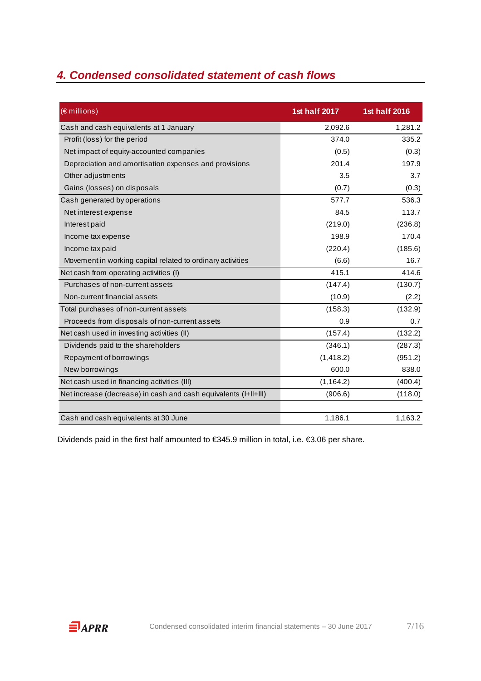## **4. Condensed consolidated statement of cash flows**

| $(\epsilon$ millions)                                           | 1st half 2017 | <b>1st half 2016</b> |
|-----------------------------------------------------------------|---------------|----------------------|
| Cash and cash equivalents at 1 January                          | 2,092.6       | 1,281.2              |
| Profit (loss) for the period                                    | 374.0         | 335.2                |
| Net impact of equity-accounted companies                        | (0.5)         | (0.3)                |
| Depreciation and amortisation expenses and provisions           | 201.4         | 197.9                |
| Other adjustments                                               | 3.5           | 3.7                  |
| Gains (losses) on disposals                                     | (0.7)         | (0.3)                |
| Cash generated by operations                                    | 577.7         | 536.3                |
| Net interest expense                                            | 84.5          | 113.7                |
| Interest paid                                                   | (219.0)       | (236.8)              |
| Income tax expense                                              | 198.9         | 170.4                |
| Income tax paid                                                 | (220.4)       | (185.6)              |
| Movement in working capital related to ordinary activities      | (6.6)         | 16.7                 |
| Net cash from operating activities (I)                          | 415.1         | 414.6                |
| Purchases of non-current assets                                 | (147.4)       | (130.7)              |
| Non-current financial assets                                    | (10.9)        | (2.2)                |
| Total purchases of non-current assets                           | (158.3)       | (132.9)              |
| Proceeds from disposals of non-current assets                   | 0.9           | 0.7                  |
| Net cash used in investing activities (II)                      | (157.4)       | (132.2)              |
| Dividends paid to the shareholders                              | (346.1)       | (287.3)              |
| Repayment of borrowings                                         | (1, 418.2)    | (951.2)              |
| New borrowings                                                  | 600.0         | 838.0                |
| Net cash used in financing activities (III)                     | (1, 164.2)    | (400.4)              |
| Net increase (decrease) in cash and cash equivalents (I+II+III) | (906.6)       | (118.0)              |
| Cash and cash equivalents at 30 June                            | 1,186.1       | 1,163.2              |

Dividends paid in the first half amounted to €345.9 million in total, i.e. €3.06 per share.

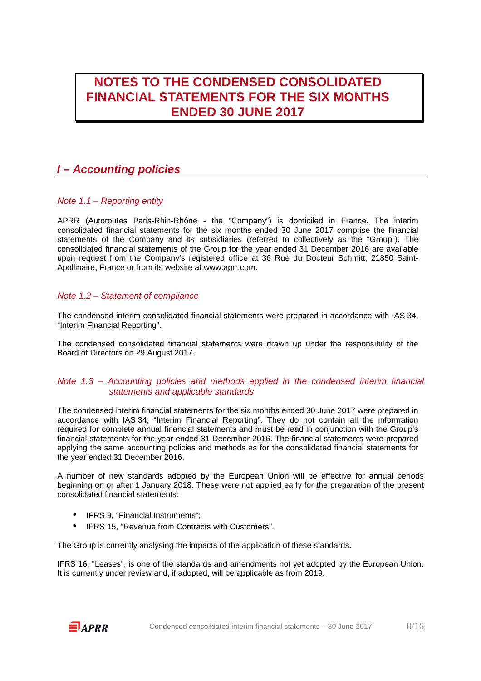## **NOTES TO THE CONDENSED CONSOLIDATED FINANCIAL STATEMENTS FOR THE SIX MONTHS ENDED 30 JUNE 2017**

### **I – Accounting policies**

### Note 1.1 – Reporting entity

APRR (Autoroutes Paris-Rhin-Rhône - the "Company") is domiciled in France. The interim consolidated financial statements for the six months ended 30 June 2017 comprise the financial statements of the Company and its subsidiaries (referred to collectively as the "Group"). The consolidated financial statements of the Group for the year ended 31 December 2016 are available upon request from the Company's registered office at 36 Rue du Docteur Schmitt, 21850 Saint-Apollinaire, France or from its website at www.aprr.com.

### Note 1.2 – Statement of compliance

The condensed interim consolidated financial statements were prepared in accordance with IAS 34, "Interim Financial Reporting".

The condensed consolidated financial statements were drawn up under the responsibility of the Board of Directors on 29 August 2017.

#### Note 1.3 – Accounting policies and methods applied in the condensed interim financial statements and applicable standards

The condensed interim financial statements for the six months ended 30 June 2017 were prepared in accordance with IAS 34, "Interim Financial Reporting". They do not contain all the information required for complete annual financial statements and must be read in conjunction with the Group's financial statements for the year ended 31 December 2016. The financial statements were prepared applying the same accounting policies and methods as for the consolidated financial statements for the year ended 31 December 2016.

A number of new standards adopted by the European Union will be effective for annual periods beginning on or after 1 January 2018. These were not applied early for the preparation of the present consolidated financial statements:

- IFRS 9, "Financial Instruments";
- IFRS 15, "Revenue from Contracts with Customers".

The Group is currently analysing the impacts of the application of these standards.

IFRS 16, "Leases", is one of the standards and amendments not yet adopted by the European Union. It is currently under review and, if adopted, will be applicable as from 2019.

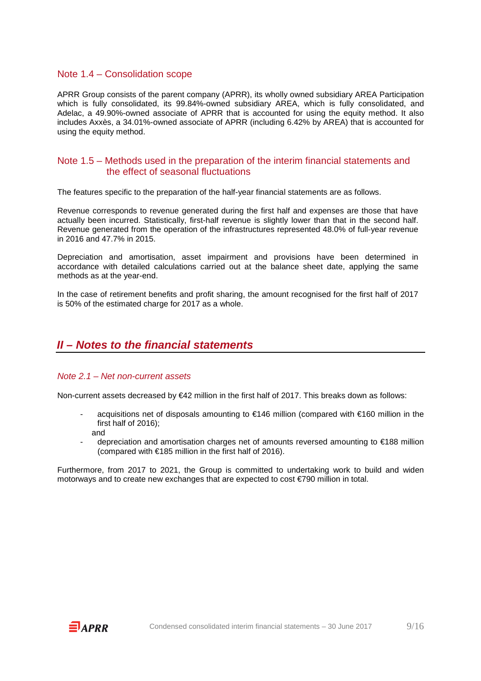#### Note 1.4 – Consolidation scope

APRR Group consists of the parent company (APRR), its wholly owned subsidiary AREA Participation which is fully consolidated, its 99.84%-owned subsidiary AREA, which is fully consolidated, and Adelac, a 49.90%-owned associate of APRR that is accounted for using the equity method. It also includes Axxès, a 34.01%-owned associate of APRR (including 6.42% by AREA) that is accounted for using the equity method.

### Note 1.5 – Methods used in the preparation of the interim financial statements and the effect of seasonal fluctuations

The features specific to the preparation of the half-year financial statements are as follows.

Revenue corresponds to revenue generated during the first half and expenses are those that have actually been incurred. Statistically, first-half revenue is slightly lower than that in the second half. Revenue generated from the operation of the infrastructures represented 48.0% of full-year revenue in 2016 and 47.7% in 2015.

Depreciation and amortisation, asset impairment and provisions have been determined in accordance with detailed calculations carried out at the balance sheet date, applying the same methods as at the year-end.

In the case of retirement benefits and profit sharing, the amount recognised for the first half of 2017 is 50% of the estimated charge for 2017 as a whole.

### **II – Notes to the financial statements**

#### Note 2.1 – Net non-current assets

Non-current assets decreased by €42 million in the first half of 2017. This breaks down as follows:

- acquisitions net of disposals amounting to €146 million (compared with €160 million in the first half of 2016); and
- depreciation and amortisation charges net of amounts reversed amounting to €188 million (compared with  $€185$  million in the first half of 2016).

Furthermore, from 2017 to 2021, the Group is committed to undertaking work to build and widen motorways and to create new exchanges that are expected to cost €790 million in total.

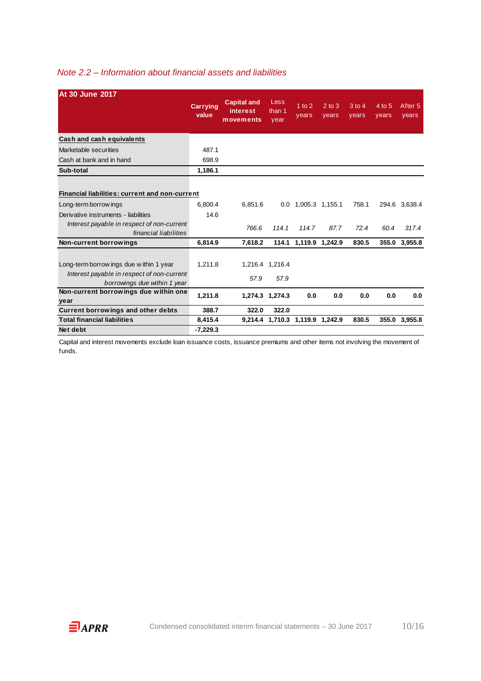### Note 2.2 – Information about financial assets and liabilities

| <b>At 30 June 2017</b>                                                     |                          |                                                    |                        |                         |                     |                     |                 |                             |
|----------------------------------------------------------------------------|--------------------------|----------------------------------------------------|------------------------|-------------------------|---------------------|---------------------|-----------------|-----------------------------|
|                                                                            | <b>Carrying</b><br>value | <b>Capital and</b><br><i>interest</i><br>movements | Less<br>than 1<br>year | $1$ to $2$<br>years     | $2$ to $3$<br>years | $3$ to $4$<br>years | 4 to 5<br>years | After <sub>5</sub><br>years |
| Cash and cash equivalents                                                  |                          |                                                    |                        |                         |                     |                     |                 |                             |
| Marketable securities                                                      | 487.1                    |                                                    |                        |                         |                     |                     |                 |                             |
| Cash at bank and in hand                                                   | 698.9                    |                                                    |                        |                         |                     |                     |                 |                             |
| Sub-total                                                                  | 1,186.1                  |                                                    |                        |                         |                     |                     |                 |                             |
|                                                                            |                          |                                                    |                        |                         |                     |                     |                 |                             |
| Financial liabilities: current and non-current                             |                          |                                                    |                        |                         |                     |                     |                 |                             |
| Long-term borrow ings                                                      | 6.800.4                  | 6.851.6                                            | 0.0                    | 1,005.3 1,155.1         |                     | 758.1               |                 | 294.6 3,638.4               |
| Derivative instruments - liabilities                                       | 14.6                     |                                                    |                        |                         |                     |                     |                 |                             |
| Interest payable in respect of non-current<br>financial liabilities        |                          | 766.6                                              | 114.1                  | 114.7                   | 87.7                | 72.4                | 60.4            | 317.4                       |
| Non-current borrowings                                                     | 6.814.9                  | 7.618.2                                            |                        | 114.1 1,119.9           | 1,242.9             | 830.5               |                 | 355.0 3,955.8               |
|                                                                            |                          |                                                    |                        |                         |                     |                     |                 |                             |
| Long-term borrow ings due within 1 year                                    | 1.211.8                  |                                                    | 1,216.4 1,216.4        |                         |                     |                     |                 |                             |
| Interest payable in respect of non-current<br>borrowings due within 1 year |                          | 57.9                                               | 57.9                   |                         |                     |                     |                 |                             |
| Non-current borrowings due within one<br>year                              | 1,211.8                  |                                                    | 1,274.3 1,274.3        | 0.0                     | 0.0                 | 0.0                 | 0.0             | 0.0                         |
| <b>Current borrowings and other debts</b>                                  | 388.7                    | 322.0                                              | 322.0                  |                         |                     |                     |                 |                             |
| <b>Total financial liabilities</b>                                         | 8,415.4                  | 9.214.4                                            |                        | 1,710.3 1,119.9 1,242.9 |                     | 830.5               |                 | 355.0 3.955.8               |
| Net debt                                                                   | $-7,229.3$               |                                                    |                        |                         |                     |                     |                 |                             |

Capital and interest movements exclude loan issuance costs, issuance premiums and other items not involving the movement of funds.

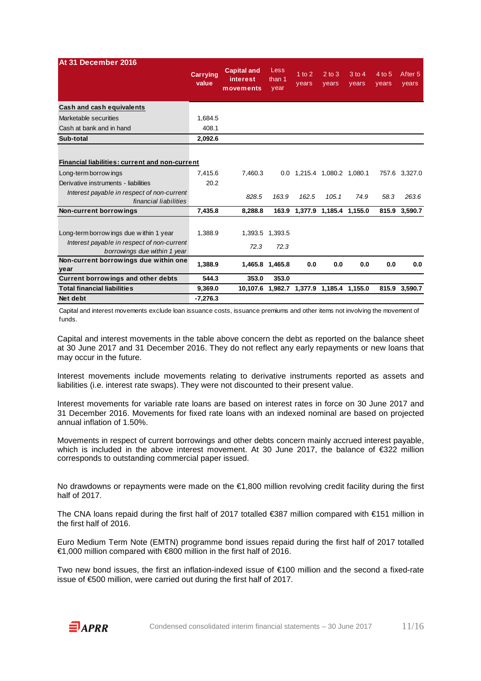| At 31 December 2016                                                        |                          | <b>Capital and</b>    | Less            |                                 |                     |                   |                 |                             |
|----------------------------------------------------------------------------|--------------------------|-----------------------|-----------------|---------------------------------|---------------------|-------------------|-----------------|-----------------------------|
|                                                                            | <b>Carrying</b><br>value | interest<br>movements | than 1<br>year  | $1$ to $2$<br>years             | $2$ to $3$<br>years | $3$ to 4<br>years | 4 to 5<br>years | After <sub>5</sub><br>years |
| Cash and cash equivalents                                                  |                          |                       |                 |                                 |                     |                   |                 |                             |
| Marketable securities                                                      | 1,684.5                  |                       |                 |                                 |                     |                   |                 |                             |
| Cash at bank and in hand                                                   | 408.1                    |                       |                 |                                 |                     |                   |                 |                             |
| Sub-total                                                                  | 2,092.6                  |                       |                 |                                 |                     |                   |                 |                             |
|                                                                            |                          |                       |                 |                                 |                     |                   |                 |                             |
| <b>Financial liabilities: current and non-current</b>                      |                          |                       |                 |                                 |                     |                   |                 |                             |
| Long-term borrow ings                                                      | 7.415.6                  | 7.460.3               |                 | 0.0 1,215.4 1,080.2 1,080.1     |                     |                   |                 | 757.6 3,327.0               |
| Derivative instruments - liabilities                                       | 20.2                     |                       |                 |                                 |                     |                   |                 |                             |
| Interest payable in respect of non-current<br>financial liabilities        |                          | 828.5                 | 163.9           | 162.5                           | 105.1               | 74.9              | 58.3            | 263.6                       |
| Non-current borrowings                                                     | 7.435.8                  | 8.288.8               |                 | 163.9 1,377.9 1,185.4 1,155.0   |                     |                   |                 | 815.9 3.590.7               |
|                                                                            |                          |                       |                 |                                 |                     |                   |                 |                             |
| Long-term borrow ings due within 1 year                                    | 1.388.9                  |                       | 1,393.5 1,393.5 |                                 |                     |                   |                 |                             |
| Interest payable in respect of non-current<br>borrowings due within 1 year |                          | 72.3                  | 72.3            |                                 |                     |                   |                 |                             |
| Non-current borrowings due within one                                      | 1.388.9                  | 1.465.8               | 1,465.8         | 0.0                             | 0.0                 | 0.0               | 0.0             | 0.0                         |
| year                                                                       |                          |                       |                 |                                 |                     |                   |                 |                             |
| Current borrowings and other debts                                         | 544.3                    | 353.0                 | 353.0           |                                 |                     |                   |                 |                             |
| <b>Total financial liabilities</b>                                         | 9,369.0                  | 10,107.6              |                 | 1,982.7 1,377.9 1,185.4 1,155.0 |                     |                   |                 | 815.9 3,590.7               |
| Net debt                                                                   | -7,276.3                 |                       |                 |                                 |                     |                   |                 |                             |

Capital and interest movements exclude loan issuance costs, issuance premiums and other items not involving the movement of funds.

Capital and interest movements in the table above concern the debt as reported on the balance sheet at 30 June 2017 and 31 December 2016. They do not reflect any early repayments or new loans that may occur in the future.

Interest movements include movements relating to derivative instruments reported as assets and liabilities (i.e. interest rate swaps). They were not discounted to their present value.

Interest movements for variable rate loans are based on interest rates in force on 30 June 2017 and 31 December 2016. Movements for fixed rate loans with an indexed nominal are based on projected annual inflation of 1.50%.

Movements in respect of current borrowings and other debts concern mainly accrued interest payable, which is included in the above interest movement. At 30 June 2017, the balance of €322 million corresponds to outstanding commercial paper issued.

No drawdowns or repayments were made on the €1,800 million revolving credit facility during the first half of 2017.

The CNA loans repaid during the first half of 2017 totalled €387 million compared with €151 million in the first half of 2016.

Euro Medium Term Note (EMTN) programme bond issues repaid during the first half of 2017 totalled €1,000 million compared with €800 million in the first half of 2016.

Two new bond issues, the first an inflation-indexed issue of €100 million and the second a fixed-rate issue of €500 million, were carried out during the first half of 2017.

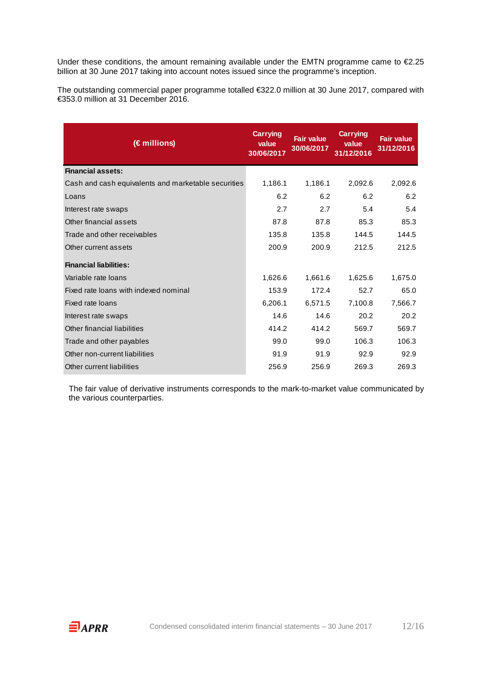Under these conditions, the amount remaining available under the EMTN programme came to €2.25 billion at 30 June 2017 taking into account notes issued since the programme's inception.

The outstanding commercial paper programme totalled €322.0 million at 30 June 2017, compared with €353.0 million at 31 December 2016.

| (€ millions)                                        | <b>Carrying</b><br>value<br>30/06/2017 | <b>Fair value</b><br>30/06/2017 | <b>Carrying</b><br>value<br>31/12/2016 | <b>Fair value</b><br>31/12/2016 |
|-----------------------------------------------------|----------------------------------------|---------------------------------|----------------------------------------|---------------------------------|
| <b>Financial assets:</b>                            |                                        |                                 |                                        |                                 |
| Cash and cash equivalents and marketable securities | 1,186.1                                | 1,186.1                         | 2,092.6                                | 2,092.6                         |
| Loans                                               | 6.2                                    | 6.2                             | 6.2                                    | 6.2                             |
| Interest rate swaps                                 | 2.7                                    | 2.7                             | 5.4                                    | 5.4                             |
| Other financial assets                              | 87.8                                   | 87.8                            | 85.3                                   | 85.3                            |
| Trade and other receivables                         | 135.8                                  | 135.8                           | 144.5                                  | 144.5                           |
| Other current assets                                | 200.9                                  | 200.9                           | 212.5                                  | 212.5                           |
| <b>Financial liabilities:</b>                       |                                        |                                 |                                        |                                 |
| Variable rate loans                                 | 1,626.6                                | 1,661.6                         | 1,625.6                                | 1,675.0                         |
| Fixed rate loans with indexed nominal               | 153.9                                  | 172.4                           | 52.7                                   | 65.0                            |
| Fixed rate loans                                    | 6,206.1                                | 6,571.5                         | 7,100.8                                | 7,566.7                         |
| Interest rate swaps                                 | 14.6                                   | 14.6                            | 20.2                                   | 20.2                            |
| Other financial liabilities                         | 414.2                                  | 414.2                           | 569.7                                  | 569.7                           |
| Trade and other payables                            | 99.0                                   | 99.0                            | 106.3                                  | 106.3                           |
| Other non-current liabilities                       | 91.9                                   | 91.9                            | 92.9                                   | 92.9                            |
| Other current liabilities                           | 256.9                                  | 256.9                           | 269.3                                  | 269.3                           |

The fair value of derivative instruments corresponds to the mark-to-market value communicated by the various counterparties.

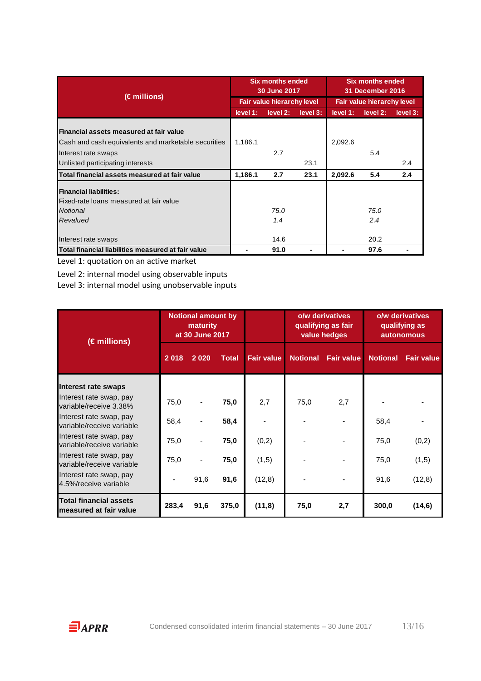|                                                     |          | <b>Six months ended</b><br>30 June 2017 |          | <b>Six months ended</b><br><b>31 December 2016</b> |          |          |  |
|-----------------------------------------------------|----------|-----------------------------------------|----------|----------------------------------------------------|----------|----------|--|
| $(\epsilon$ millions)                               |          | <b>Fair value hierarchy level</b>       |          | <b>Fair value hierarchy level</b>                  |          |          |  |
|                                                     | level 1: | level 2:                                | level 3: | level 1:                                           | level 2: | level 3: |  |
|                                                     |          |                                         |          |                                                    |          |          |  |
| Financial assets measured at fair value             |          |                                         |          |                                                    |          |          |  |
| Cash and cash equivalents and marketable securities | 1,186.1  |                                         |          | 2,092.6                                            |          |          |  |
| Interest rate swaps                                 |          | 2.7                                     |          |                                                    | 5.4      |          |  |
| Unlisted participating interests                    |          |                                         | 23.1     |                                                    |          | 2.4      |  |
| Total financial assets measured at fair value       | 1,186.1  | 2.7                                     | 23.1     | 2,092.6                                            | 5.4      | 2.4      |  |
| <b>Financial liabilities:</b>                       |          |                                         |          |                                                    |          |          |  |
| lFixed-rate loans measured at fair value            |          |                                         |          |                                                    |          |          |  |
| Notional                                            |          | 75.0                                    |          |                                                    | 75.0     |          |  |
| Revalued                                            |          | 1.4                                     |          |                                                    | 2.4      |          |  |
|                                                     |          |                                         |          |                                                    |          |          |  |
| Interest rate swaps                                 |          | 14.6                                    |          |                                                    | 20.2     |          |  |
| Total financial liabilities measured at fair value  |          | 91.0                                    |          |                                                    | 97.6     |          |  |

Level 1: quotation on an active market

Level 2: internal model using observable inputs

Level 3: internal model using unobservable inputs

| $(\epsilon$ millions)                                   | <b>Notional amount by</b><br>maturity<br>at 30 June 2017 |      |              |                   |      | o/w derivatives<br>qualifying as fair<br>value hedges | o/w derivatives<br>qualifying as<br><b>autonomous</b> |                   |  |
|---------------------------------------------------------|----------------------------------------------------------|------|--------------|-------------------|------|-------------------------------------------------------|-------------------------------------------------------|-------------------|--|
|                                                         | 2018                                                     | 2020 | <b>Total</b> | <b>Fair value</b> |      | <b>Notional Fair value</b>                            | <b>Notional</b>                                       | <b>Fair value</b> |  |
| Interest rate swaps                                     |                                                          |      |              |                   |      |                                                       |                                                       |                   |  |
| Interest rate swap, pay<br>variable/receive 3.38%       | 75,0                                                     |      | 75,0         | 2,7               | 75,0 | 2,7                                                   |                                                       |                   |  |
| Interest rate swap, pay<br>variable/receive variable    | 58,4                                                     |      | 58,4         |                   |      |                                                       | 58,4                                                  |                   |  |
| Interest rate swap, pay<br>variable/receive variable    | 75,0                                                     |      | 75,0         | (0,2)             |      |                                                       | 75,0                                                  | (0,2)             |  |
| Interest rate swap, pay<br>variable/receive variable    | 75,0                                                     |      | 75,0         | (1,5)             |      |                                                       | 75,0                                                  | (1,5)             |  |
| Interest rate swap, pay<br>4.5%/receive variable        |                                                          | 91,6 | 91,6         | (12,8)            |      |                                                       | 91,6                                                  | (12,8)            |  |
| <b>Total financial assets</b><br>measured at fair value | 283,4                                                    | 91,6 | 375,0        | (11,8)            | 75,0 | 2,7                                                   | 300,0                                                 | (14, 6)           |  |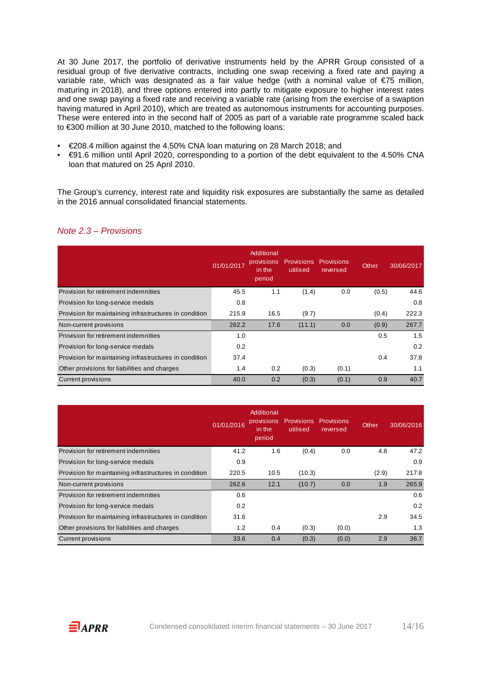At 30 June 2017, the portfolio of derivative instruments held by the APRR Group consisted of a residual group of five derivative contracts, including one swap receiving a fixed rate and paying a variable rate, which was designated as a fair value hedge (with a nominal value of €75 million, maturing in 2018), and three options entered into partly to mitigate exposure to higher interest rates and one swap paying a fixed rate and receiving a variable rate (arising from the exercise of a swaption having matured in April 2010), which are treated as autonomous instruments for accounting purposes. These were entered into in the second half of 2005 as part of a variable rate programme scaled back to €300 million at 30 June 2010, matched to the following loans:

- €208.4 million against the 4.50% CNA loan maturing on 28 March 2018; and
- €91.6 million until April 2020, corresponding to a portion of the debt equivalent to the 4.50% CNA loan that matured on 25 April 2010.

The Group's currency, interest rate and liquidity risk exposures are substantially the same as detailed in the 2016 annual consolidated financial statements.

|                                                        | 01/01/2017 | Additional<br>provisions<br>in the<br>period | <b>Provisions</b><br>utilised | <b>Provisions</b><br>reversed | Other | 30/06/2017 |
|--------------------------------------------------------|------------|----------------------------------------------|-------------------------------|-------------------------------|-------|------------|
| Provision for retirement indemnities                   | 45.5       | 1.1                                          | (1.4)                         | 0.0                           | (0.5) | 44.6       |
| Provision for long-service medals                      | 0.8        |                                              |                               |                               |       | 0.8        |
| Provision for maintaining infrastructures in condition | 215.9      | 16.5                                         | (9.7)                         |                               | (0.4) | 222.3      |
| Non-current provisions                                 | 262.2      | 17.6                                         | (11.1)                        | 0.0                           | (0.9) | 267.7      |
| Provision for retirement indemnities                   | 1.0        |                                              |                               |                               | 0.5   | 1.5        |
| Provision for long-service medals                      | 0.2        |                                              |                               |                               |       | 0.2        |
| Provision for maintaining infrastructures in condition | 37.4       |                                              |                               |                               | 0.4   | 37.8       |
| Other provisions for liabilities and charges           | 1.4        | 0.2                                          | (0.3)                         | (0.1)                         |       | 1.1        |
| <b>Current provisions</b>                              | 40.0       | 0.2                                          | (0.3)                         | (0.1)                         | 0.9   | 40.7       |

#### Note 2.3 – Provisions

|                                                        | 01/01/2016 | Additional<br>provisions<br>in the<br>period | <b>Provisions</b><br>utilised | <b>Provisions</b><br>reversed | Other | 30/06/2016 |
|--------------------------------------------------------|------------|----------------------------------------------|-------------------------------|-------------------------------|-------|------------|
| Provision for retirement indemnities                   | 41.2       | 1.6                                          | (0.4)                         | 0.0                           | 4.8   | 47.2       |
| Provision for long-service medals                      | 0.9        |                                              |                               |                               |       | 0.9        |
| Provision for maintaining infrastructures in condition | 220.5      | 10.5                                         | (10.3)                        |                               | (2.9) | 217.8      |
| Non-current provisions                                 | 262.6      | 12.1                                         | (10.7)                        | 0.0                           | 1.9   | 265.9      |
| Provision for retirement indemnities                   | 0.6        |                                              |                               |                               |       | 0.6        |
| Provision for long-service medals                      | 0.2        |                                              |                               |                               |       | 0.2        |
| Provision for maintaining infrastructures in condition | 31.6       |                                              |                               |                               | 2.9   | 34.5       |
| Other provisions for liabilities and charges           | 1.2        | 0.4                                          | (0.3)                         | (0.0)                         |       | 1.3        |
| <b>Current provisions</b>                              | 33.6       | 0.4                                          | (0.3)                         | (0.0)                         | 2.9   | 36.7       |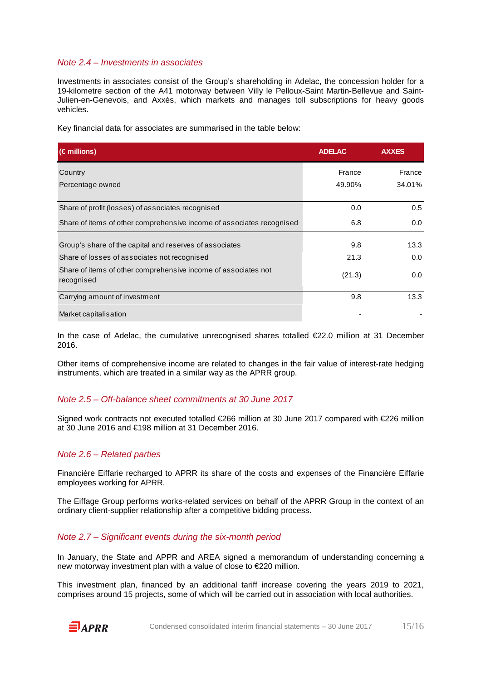#### Note 2.4 – Investments in associates

Investments in associates consist of the Group's shareholding in Adelac, the concession holder for a 19-kilometre section of the A41 motorway between Villy le Pelloux-Saint Martin-Bellevue and Saint-Julien-en-Genevois, and Axxès, which markets and manages toll subscriptions for heavy goods vehicles.

Key financial data for associates are summarised in the table below:

| $(\epsilon$ millions)                                                        | <b>ADELAC</b> | <b>AXXES</b> |
|------------------------------------------------------------------------------|---------------|--------------|
| Country                                                                      | France        | France       |
| Percentage owned                                                             | 49.90%        | 34.01%       |
| Share of profit (losses) of associates recognised                            | 0.0           | 0.5          |
| Share of items of other comprehensive income of associates recognised        | 6.8           | 0.0          |
| Group's share of the capital and reserves of associates                      | 9.8           | 13.3         |
| Share of losses of associates not recognised                                 | 21.3          | 0.0          |
| Share of items of other comprehensive income of associates not<br>recognised | (21.3)        | 0.0          |
| Carrying amount of investment                                                | 9.8           | 13.3         |
| Market capitalisation                                                        |               |              |

In the case of Adelac, the cumulative unrecognised shares totalled €22.0 million at 31 December 2016.

Other items of comprehensive income are related to changes in the fair value of interest-rate hedging instruments, which are treated in a similar way as the APRR group.

#### Note 2.5 – Off-balance sheet commitments at 30 June 2017

Signed work contracts not executed totalled €266 million at 30 June 2017 compared with €226 million at 30 June 2016 and €198 million at 31 December 2016.

#### Note 2.6 – Related parties

Financière Eiffarie recharged to APRR its share of the costs and expenses of the Financière Eiffarie employees working for APRR.

The Eiffage Group performs works-related services on behalf of the APRR Group in the context of an ordinary client-supplier relationship after a competitive bidding process.

#### Note 2.7 – Significant events during the six-month period

In January, the State and APPR and AREA signed a memorandum of understanding concerning a new motorway investment plan with a value of close to €220 million.

This investment plan, financed by an additional tariff increase covering the years 2019 to 2021, comprises around 15 projects, some of which will be carried out in association with local authorities.